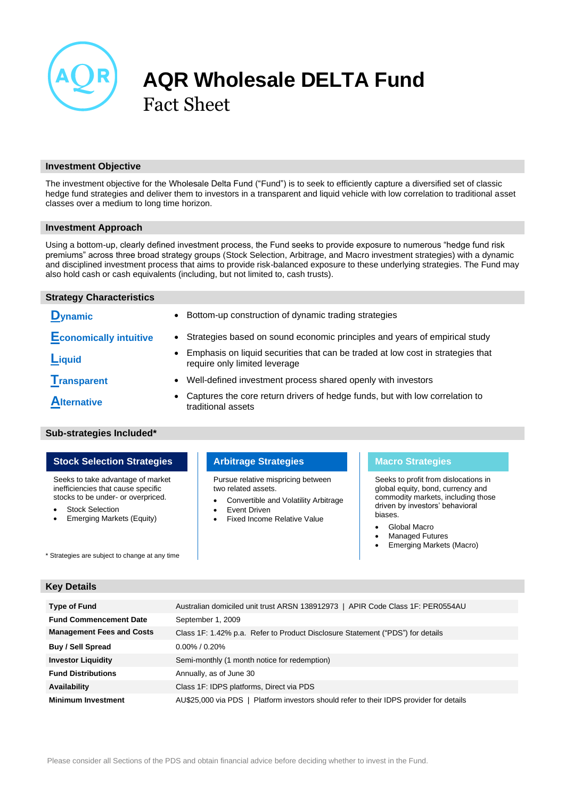

# **AQR Wholesale DELTA Fund** Fact Sheet

# **Investment Objective**

The investment objective for the Wholesale Delta Fund ("Fund") is to seek to efficiently capture a diversified set of classic hedge fund strategies and deliver them to investors in a transparent and liquid vehicle with low correlation to traditional asset classes over a medium to long time horizon.

# **Investment Approach**

Using a bottom-up, clearly defined investment process, the Fund seeks to provide exposure to numerous "hedge fund risk premiums" across three broad strategy groups (Stock Selection, Arbitrage, and Macro investment strategies) with a dynamic and disciplined investment process that aims to provide risk-balanced exposure to these underlying strategies. The Fund may also hold cash or cash equivalents (including, but not limited to, cash trusts).

# **Strategy Characteristics**

**D**<sub>ynamic</sub>

- **Economically intuitive** Strategies based on sound economic principles and years of empirical study
- **Liquid** Emphasis on liquid securities that can be traded at low cost in strategies that **Liquid** require only limited leverage
- **Transparent** Well-defined investment process shared openly with investors
- **Alternative** Captures the core return drivers of hedge funds, but with low correlation to traditional assets

# **Sub-strategies Included\***

# **Stock Selection Strategies Arbitrage Strategies Macro Strategies**

Seeks to take advantage of market inefficiencies that cause specific stocks to be under- or overpriced.

- Stock Selection
- Emerging Markets (Equity)

\* Strategies are subject to change at any time

Pursue relative mispricing between two related assets.

- Convertible and Volatility Arbitrage
- Event Driven
	- Fixed Income Relative Value

Seeks to profit from dislocations in global equity, bond, currency and commodity markets, including those driven by investors' behavioral biases.

- Global Macro
- Managed Futures
- Emerging Markets (Macro)

# **Key Details**

| <b>Type of Fund</b>              | Australian domiciled unit trust ARSN 138912973   APIR Code Class 1F: PER0554AU          |
|----------------------------------|-----------------------------------------------------------------------------------------|
| <b>Fund Commencement Date</b>    | September 1, 2009                                                                       |
| <b>Management Fees and Costs</b> | Class 1F: 1.42% p.a. Refer to Product Disclosure Statement ("PDS") for details          |
| <b>Buy / Sell Spread</b>         | $0.00\%$ / 0.20%                                                                        |
| <b>Investor Liquidity</b>        | Semi-monthly (1 month notice for redemption)                                            |
| <b>Fund Distributions</b>        | Annually, as of June 30                                                                 |
| Availability                     | Class 1F: IDPS platforms, Direct via PDS                                                |
| <b>Minimum Investment</b>        | AU\$25,000 via PDS   Platform investors should refer to their IDPS provider for details |